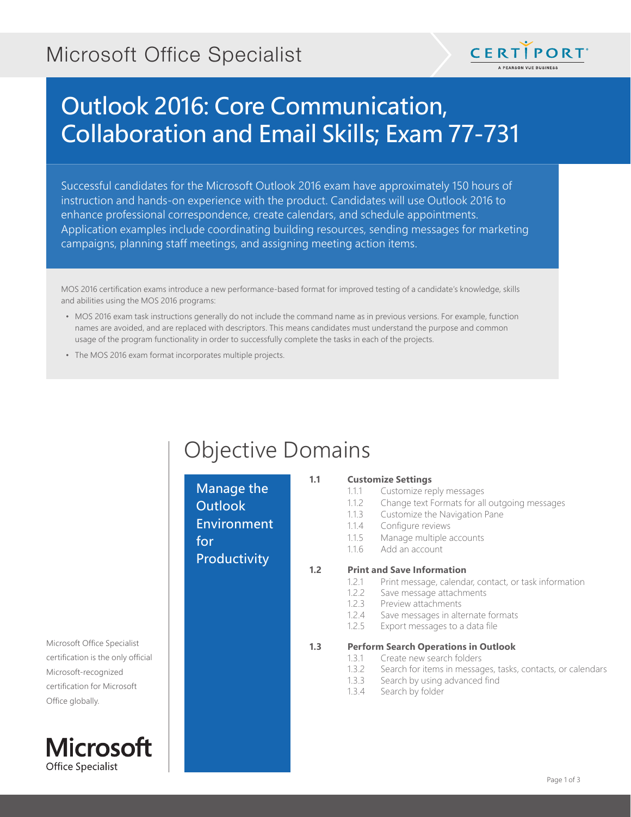## Microsoft Office Specialist



# Outlook 2016: Core Communication, Collaboration and Email Skills; Exam 77-731

Successful candidates for the Microsoft Outlook 2016 exam have approximately 150 hours of instruction and hands-on experience with the product. Candidates will use Outlook 2016 to enhance professional correspondence, create calendars, and schedule appointments. Application examples include coordinating building resources, sending messages for marketing campaigns, planning staff meetings, and assigning meeting action items.

MOS 2016 certification exams introduce a new performance-based format for improved testing of a candidate's knowledge, skills and abilities using the MOS 2016 programs:

- MOS 2016 exam task instructions generally do not include the command name as in previous versions. For example, function names are avoided, and are replaced with descriptors. This means candidates must understand the purpose and common usage of the program functionality in order to successfully complete the tasks in each of the projects.
- The MOS 2016 exam format incorporates multiple projects.

## Objective Domains

| Manage the<br><b>Outlook</b><br><b>Environment</b><br>for<br>Productivity | 1.1 | <b>Customize Settings</b><br>Customize reply messages<br>1.1.1<br>Change text Formats for all outgoing messages<br>1.1.2<br>Customize the Navigation Pane<br>1.1.3<br>Configure reviews<br>1.1.4<br>Manage multiple accounts<br>1.1.5<br>Add an account<br>1.1.6 |
|---------------------------------------------------------------------------|-----|------------------------------------------------------------------------------------------------------------------------------------------------------------------------------------------------------------------------------------------------------------------|
|                                                                           | 1.2 | <b>Print and Save Information</b><br>Print message, calendar, contact, or task information<br>1.2.1<br>Save message attachments<br>1.2.2                                                                                                                         |
|                                                                           |     | 1.2.3<br>Preview attachments<br>1.2.4<br>Save messages in alternate formats<br>Export messages to a data file<br>1.2.5                                                                                                                                           |
|                                                                           | 1.3 | <b>Perform Search Operations in Outlook</b><br>Create new search folders<br>1.3.1<br>Search for items in messages, tasks, contacts, or calendars<br>1.3.2<br>Search by using advanced find<br>1.3.3<br>Search by folder<br>1.3.4                                 |

#### Microsoft Office Specialist certification is the only official Microsoft-recognized certification for Microsoft Office globally.

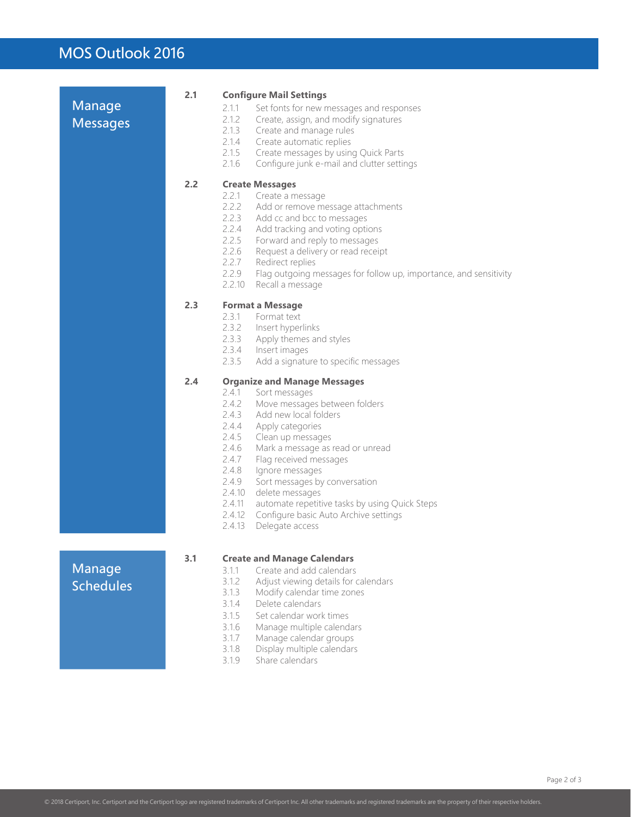### MOS Outlook 2016

| Manage                     | 2.1 | <b>Configure Mail Settings</b><br>2.1.1<br>Set fonts for new messages and responses                                                                                                                                                                                                                                                                                                                                                                                                          |
|----------------------------|-----|----------------------------------------------------------------------------------------------------------------------------------------------------------------------------------------------------------------------------------------------------------------------------------------------------------------------------------------------------------------------------------------------------------------------------------------------------------------------------------------------|
| <b>Messages</b>            |     | 2.1.2<br>Create, assign, and modify signatures<br>2.1.3<br>Create and manage rules<br>2.1.4<br>Create automatic replies<br>2.1.5<br>Create messages by using Quick Parts<br>2.1.6<br>Configure junk e-mail and clutter settings                                                                                                                                                                                                                                                              |
|                            | 2.2 | <b>Create Messages</b>                                                                                                                                                                                                                                                                                                                                                                                                                                                                       |
|                            |     | 2.2.1<br>Create a message<br>2.2.2<br>Add or remove message attachments<br>2.2.3<br>Add cc and bcc to messages<br>2.2.4<br>Add tracking and voting options<br>2.2.5<br>Forward and reply to messages<br>2.2.6<br>Request a delivery or read receipt<br>2.2.7<br>Redirect replies<br>2.2.9<br>Flag outgoing messages for follow up, importance, and sensitivity<br>2.2.10<br>Recall a message                                                                                                 |
|                            | 2.3 | <b>Format a Message</b>                                                                                                                                                                                                                                                                                                                                                                                                                                                                      |
|                            |     | 2.3.1<br>Format text<br>2.3.2 Insert hyperlinks<br>2.3.3<br>Apply themes and styles<br>2.3.4 Insert images<br>2.3.5<br>Add a signature to specific messages                                                                                                                                                                                                                                                                                                                                  |
|                            | 2.4 | <b>Organize and Manage Messages</b>                                                                                                                                                                                                                                                                                                                                                                                                                                                          |
|                            |     | 2.4.1<br>Sort messages<br>2.4.2<br>Move messages between folders<br>2.4.3<br>Add new local folders<br>2.4.4<br>Apply categories<br>2.4.5<br>Clean up messages<br>2.4.6<br>Mark a message as read or unread<br>2.4.7<br>Flag received messages<br>2.4.8<br>Ignore messages<br>2.4.9<br>Sort messages by conversation<br>2.4.10<br>delete messages<br>2.4.11<br>automate repetitive tasks by using Quick Steps<br>2.4.12<br>Configure basic Auto Archive settings<br>2.4.13<br>Delegate access |
|                            | 3.1 | <b>Create and Manage Calendars</b>                                                                                                                                                                                                                                                                                                                                                                                                                                                           |
| Manage<br><b>Schedules</b> |     | Create and add calendars<br>3.1.1<br>3.1.2<br>Adjust viewing details for calendars<br>3.1.3<br>Modify calendar time zones<br>Delete calendars<br>3.1.4<br>3.1.5<br>Set calendar work times<br>3.1.6<br>Manage multiple calendars<br>3.1.7<br>Manage calendar groups<br>3.1.8<br>Display multiple calendars<br>Share calendars<br>3.1.9                                                                                                                                                       |